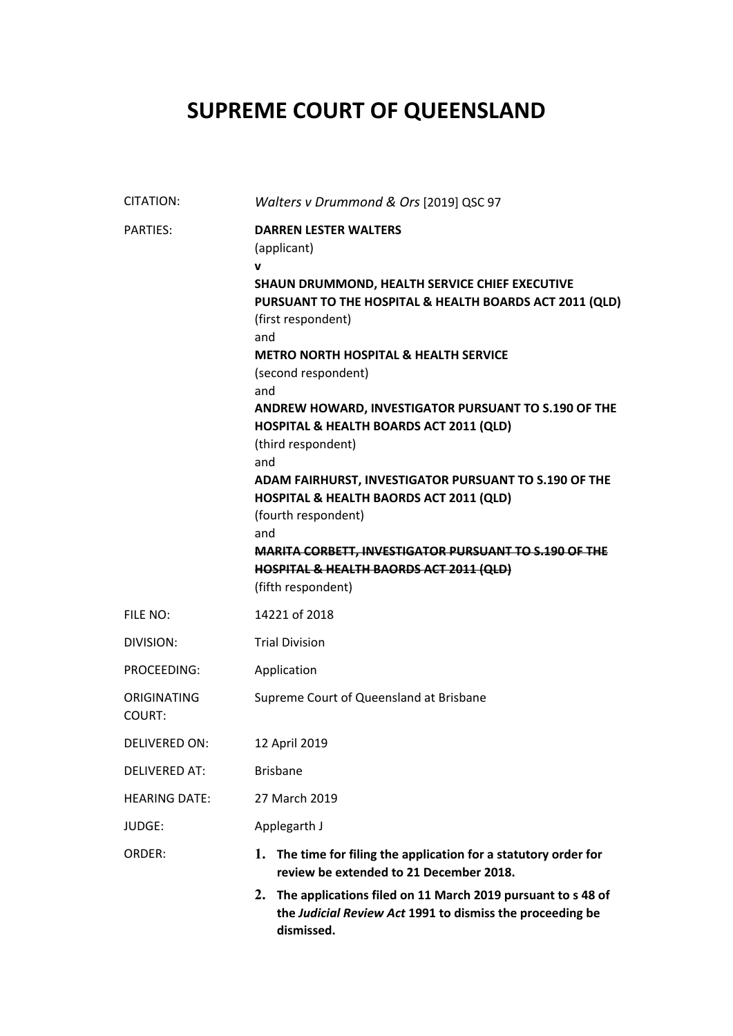# **SUPREME COURT OF QUEENSLAND**

| <b>CITATION:</b>             | Walters v Drummond & Ors [2019] QSC 97                                                                                                    |
|------------------------------|-------------------------------------------------------------------------------------------------------------------------------------------|
| <b>PARTIES:</b>              | <b>DARREN LESTER WALTERS</b><br>(applicant)<br>v                                                                                          |
|                              | SHAUN DRUMMOND, HEALTH SERVICE CHIEF EXECUTIVE<br>PURSUANT TO THE HOSPITAL & HEALTH BOARDS ACT 2011 (QLD)<br>(first respondent)           |
|                              | and<br><b>METRO NORTH HOSPITAL &amp; HEALTH SERVICE</b><br>(second respondent)<br>and                                                     |
|                              | ANDREW HOWARD, INVESTIGATOR PURSUANT TO S.190 OF THE<br>HOSPITAL & HEALTH BOARDS ACT 2011 (QLD)<br>(third respondent)                     |
|                              | and<br>ADAM FAIRHURST, INVESTIGATOR PURSUANT TO S.190 OF THE<br>HOSPITAL & HEALTH BAORDS ACT 2011 (QLD)<br>(fourth respondent)<br>and     |
|                              | MARITA CORBETT, INVESTIGATOR PURSUANT TO S.190 OF THE<br>HOSPITAL & HEALTH BAORDS ACT 2011 (QLD)<br>(fifth respondent)                    |
| FILE NO:                     | 14221 of 2018                                                                                                                             |
| DIVISION:                    | <b>Trial Division</b>                                                                                                                     |
| PROCEEDING:                  | Application                                                                                                                               |
| ORIGINATING<br><b>COURT:</b> | Supreme Court of Queensland at Brisbane                                                                                                   |
| <b>DELIVERED ON:</b>         | 12 April 2019                                                                                                                             |
| <b>DELIVERED AT:</b>         | <b>Brisbane</b>                                                                                                                           |
| <b>HEARING DATE:</b>         | 27 March 2019                                                                                                                             |
| JUDGE:                       | Applegarth J                                                                                                                              |
| ORDER:                       | 1. The time for filing the application for a statutory order for<br>review be extended to 21 December 2018.                               |
|                              | 2. The applications filed on 11 March 2019 pursuant to s 48 of<br>the Judicial Review Act 1991 to dismiss the proceeding be<br>dismissed. |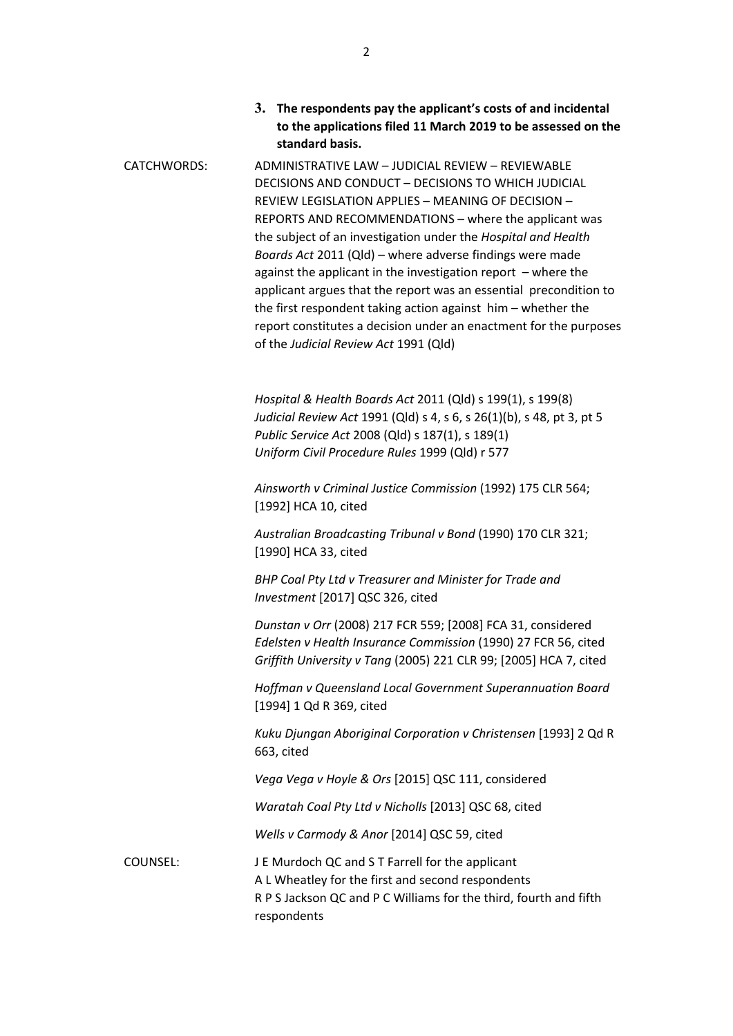- **3. The respondents pay the applicant's costs of and incidental to the applications filed 11 March 2019 to be assessed on the standard basis.**
- CATCHWORDS: ADMINISTRATIVE LAW JUDICIAL REVIEW REVIEWABLE DECISIONS AND CONDUCT – DECISIONS TO WHICH JUDICIAL REVIEW LEGISLATION APPLIES – MEANING OF DECISION – REPORTS AND RECOMMENDATIONS – where the applicant was the subject of an investigation under the *Hospital and Health Boards Act* 2011 (Qld) – where adverse findings were made against the applicant in the investigation report – where the applicant argues that the report was an essential precondition to the first respondent taking action against him – whether the report constitutes a decision under an enactment for the purposes of the *Judicial Review Act* 1991 (Qld)

*Hospital & Health Boards Act* 2011 (Qld) s 199(1), s 199(8) *Judicial Review Act* 1991 (Qld) s 4, s 6, s 26(1)(b), s 48, pt 3, pt 5 *Public Service Act* 2008 (Qld) s 187(1), s 189(1) *Uniform Civil Procedure Rules* 1999 (Qld) r 577

*Ainsworth v Criminal Justice Commission* (1992) 175 CLR 564; [1992] HCA 10, cited

*Australian Broadcasting Tribunal v Bond* (1990) 170 CLR 321; [1990] HCA 33, cited

*BHP Coal Pty Ltd v Treasurer and Minister for Trade and Investment* [2017] QSC 326, cited

*Dunstan v Orr* (2008) 217 FCR 559; [2008] FCA 31, considered *Edelsten v Health Insurance Commission* (1990) 27 FCR 56, cited *Griffith University v Tang* (2005) 221 CLR 99; [2005] HCA 7, cited

*Hoffman v Queensland Local Government Superannuation Board*  [1994] 1 Qd R 369, cited

*Kuku Djungan Aboriginal Corporation v Christensen* [1993] 2 Qd R 663, cited

*Vega Vega v Hoyle & Ors* [2015] QSC 111, considered

*Waratah Coal Pty Ltd v Nicholls* [2013] QSC 68, cited

*Wells v Carmody & Anor* [2014] QSC 59, cited

COUNSEL: J E Murdoch QC and S T Farrell for the applicant A L Wheatley for the first and second respondents R P S Jackson QC and P C Williams for the third, fourth and fifth respondents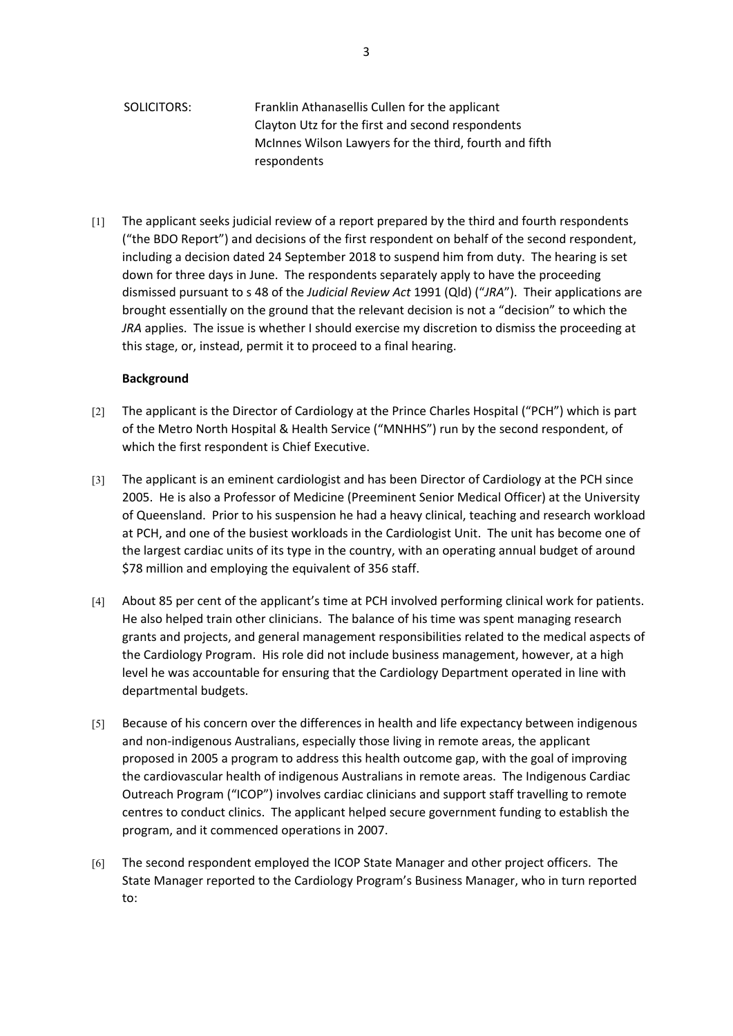| SOLICITORS: | Franklin Athanasellis Cullen for the applicant         |
|-------------|--------------------------------------------------------|
|             | Clayton Utz for the first and second respondents       |
|             | McInnes Wilson Lawyers for the third, fourth and fifth |
|             | respondents                                            |

[1] The applicant seeks judicial review of a report prepared by the third and fourth respondents ("the BDO Report") and decisions of the first respondent on behalf of the second respondent, including a decision dated 24 September 2018 to suspend him from duty. The hearing is set down for three days in June. The respondents separately apply to have the proceeding dismissed pursuant to s 48 of the *Judicial Review Act* 1991 (Qld) ("*JRA*"). Their applications are brought essentially on the ground that the relevant decision is not a "decision" to which the *JRA* applies. The issue is whether I should exercise my discretion to dismiss the proceeding at this stage, or, instead, permit it to proceed to a final hearing.

### **Background**

- [2] The applicant is the Director of Cardiology at the Prince Charles Hospital ("PCH") which is part of the Metro North Hospital & Health Service ("MNHHS") run by the second respondent, of which the first respondent is Chief Executive.
- [3] The applicant is an eminent cardiologist and has been Director of Cardiology at the PCH since 2005. He is also a Professor of Medicine (Preeminent Senior Medical Officer) at the University of Queensland. Prior to his suspension he had a heavy clinical, teaching and research workload at PCH, and one of the busiest workloads in the Cardiologist Unit. The unit has become one of the largest cardiac units of its type in the country, with an operating annual budget of around \$78 million and employing the equivalent of 356 staff.
- [4] About 85 per cent of the applicant's time at PCH involved performing clinical work for patients. He also helped train other clinicians. The balance of his time was spent managing research grants and projects, and general management responsibilities related to the medical aspects of the Cardiology Program. His role did not include business management, however, at a high level he was accountable for ensuring that the Cardiology Department operated in line with departmental budgets.
- [5] Because of his concern over the differences in health and life expectancy between indigenous and non-indigenous Australians, especially those living in remote areas, the applicant proposed in 2005 a program to address this health outcome gap, with the goal of improving the cardiovascular health of indigenous Australians in remote areas. The Indigenous Cardiac Outreach Program ("ICOP") involves cardiac clinicians and support staff travelling to remote centres to conduct clinics. The applicant helped secure government funding to establish the program, and it commenced operations in 2007.
- [6] The second respondent employed the ICOP State Manager and other project officers. The State Manager reported to the Cardiology Program's Business Manager, who in turn reported to: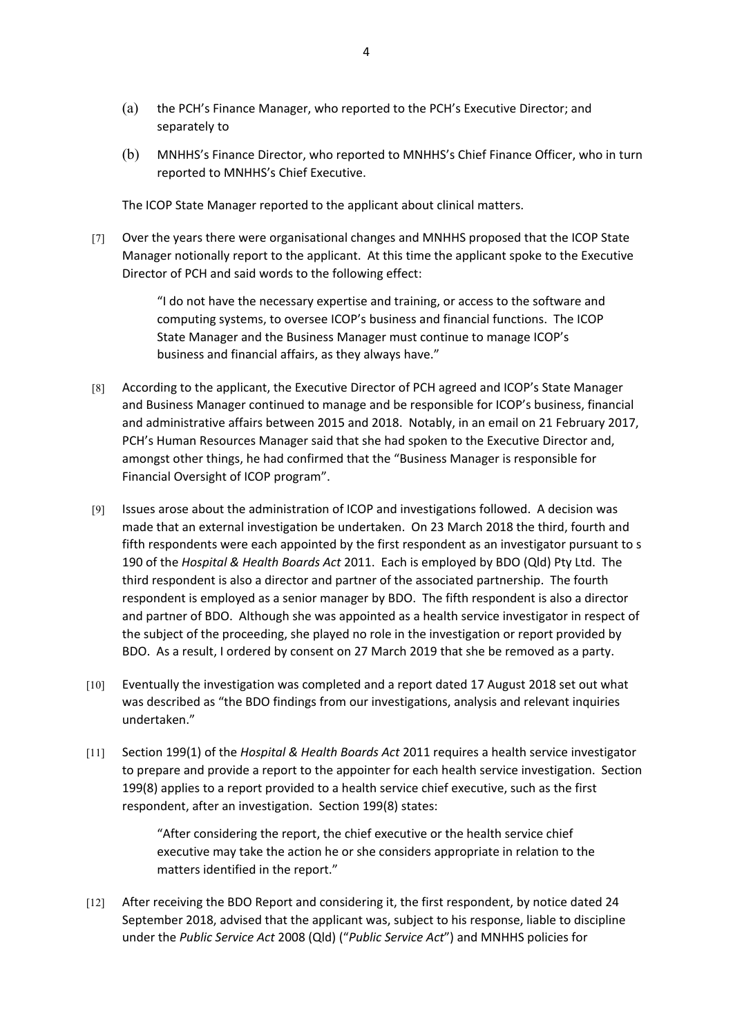- (a) the PCH's Finance Manager, who reported to the PCH's Executive Director; and separately to
- (b) MNHHS's Finance Director, who reported to MNHHS's Chief Finance Officer, who in turn reported to MNHHS's Chief Executive.

The ICOP State Manager reported to the applicant about clinical matters.

[7] Over the years there were organisational changes and MNHHS proposed that the ICOP State Manager notionally report to the applicant. At this time the applicant spoke to the Executive Director of PCH and said words to the following effect:

> "I do not have the necessary expertise and training, or access to the software and computing systems, to oversee ICOP's business and financial functions. The ICOP State Manager and the Business Manager must continue to manage ICOP's business and financial affairs, as they always have."

- [8] According to the applicant, the Executive Director of PCH agreed and ICOP's State Manager and Business Manager continued to manage and be responsible for ICOP's business, financial and administrative affairs between 2015 and 2018. Notably, in an email on 21 February 2017, PCH's Human Resources Manager said that she had spoken to the Executive Director and, amongst other things, he had confirmed that the "Business Manager is responsible for Financial Oversight of ICOP program".
- [9] Issues arose about the administration of ICOP and investigations followed. A decision was made that an external investigation be undertaken. On 23 March 2018 the third, fourth and fifth respondents were each appointed by the first respondent as an investigator pursuant to s 190 of the *Hospital & Health Boards Act* 2011. Each is employed by BDO (Qld) Pty Ltd. The third respondent is also a director and partner of the associated partnership. The fourth respondent is employed as a senior manager by BDO. The fifth respondent is also a director and partner of BDO. Although she was appointed as a health service investigator in respect of the subject of the proceeding, she played no role in the investigation or report provided by BDO. As a result, I ordered by consent on 27 March 2019 that she be removed as a party.
- [10] Eventually the investigation was completed and a report dated 17 August 2018 set out what was described as "the BDO findings from our investigations, analysis and relevant inquiries undertaken."
- [11] Section 199(1) of the *Hospital & Health Boards Act* 2011 requires a health service investigator to prepare and provide a report to the appointer for each health service investigation. Section 199(8) applies to a report provided to a health service chief executive, such as the first respondent, after an investigation. Section 199(8) states:

"After considering the report, the chief executive or the health service chief executive may take the action he or she considers appropriate in relation to the matters identified in the report."

[12] After receiving the BDO Report and considering it, the first respondent, by notice dated 24 September 2018, advised that the applicant was, subject to his response, liable to discipline under the *Public Service Act* 2008 (Qld) ("*Public Service Act*") and MNHHS policies for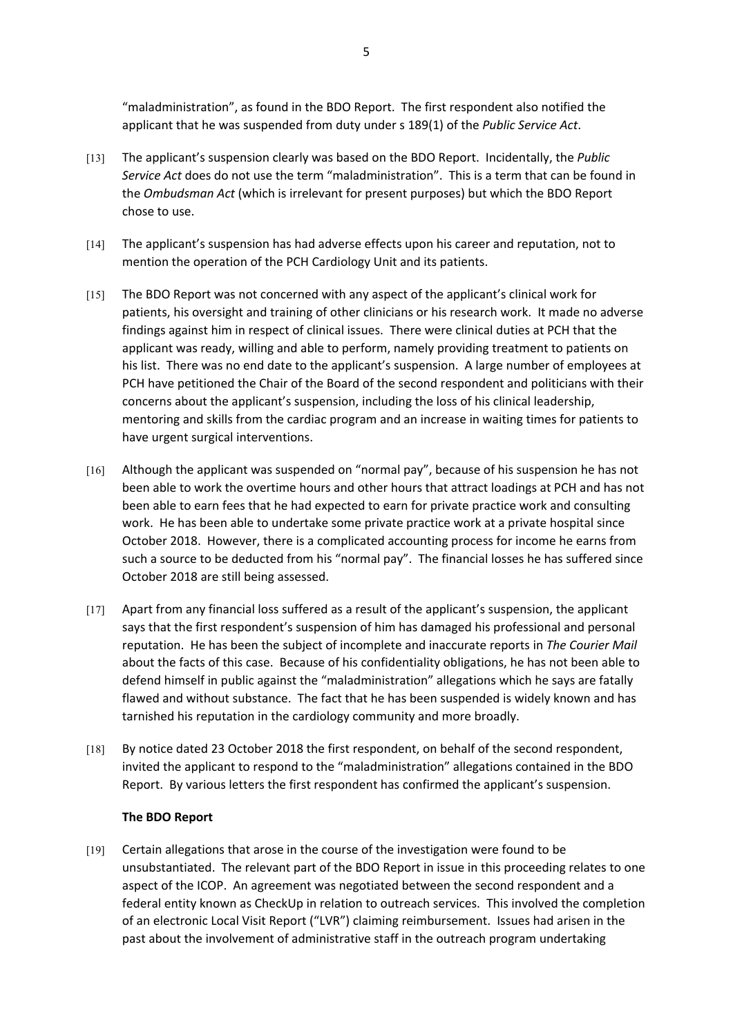"maladministration", as found in the BDO Report. The first respondent also notified the applicant that he was suspended from duty under s 189(1) of the *Public Service Act*.

- [13] The applicant's suspension clearly was based on the BDO Report. Incidentally, the *Public Service Act* does do not use the term "maladministration". This is a term that can be found in the *Ombudsman Act* (which is irrelevant for present purposes) but which the BDO Report chose to use.
- [14] The applicant's suspension has had adverse effects upon his career and reputation, not to mention the operation of the PCH Cardiology Unit and its patients.
- [15] The BDO Report was not concerned with any aspect of the applicant's clinical work for patients, his oversight and training of other clinicians or his research work. It made no adverse findings against him in respect of clinical issues. There were clinical duties at PCH that the applicant was ready, willing and able to perform, namely providing treatment to patients on his list. There was no end date to the applicant's suspension. A large number of employees at PCH have petitioned the Chair of the Board of the second respondent and politicians with their concerns about the applicant's suspension, including the loss of his clinical leadership, mentoring and skills from the cardiac program and an increase in waiting times for patients to have urgent surgical interventions.
- [16] Although the applicant was suspended on "normal pay", because of his suspension he has not been able to work the overtime hours and other hours that attract loadings at PCH and has not been able to earn fees that he had expected to earn for private practice work and consulting work. He has been able to undertake some private practice work at a private hospital since October 2018. However, there is a complicated accounting process for income he earns from such a source to be deducted from his "normal pay". The financial losses he has suffered since October 2018 are still being assessed.
- [17] Apart from any financial loss suffered as a result of the applicant's suspension, the applicant says that the first respondent's suspension of him has damaged his professional and personal reputation. He has been the subject of incomplete and inaccurate reports in *The Courier Mail* about the facts of this case. Because of his confidentiality obligations, he has not been able to defend himself in public against the "maladministration" allegations which he says are fatally flawed and without substance. The fact that he has been suspended is widely known and has tarnished his reputation in the cardiology community and more broadly.
- [18] By notice dated 23 October 2018 the first respondent, on behalf of the second respondent, invited the applicant to respond to the "maladministration" allegations contained in the BDO Report. By various letters the first respondent has confirmed the applicant's suspension.

#### **The BDO Report**

[19] Certain allegations that arose in the course of the investigation were found to be unsubstantiated. The relevant part of the BDO Report in issue in this proceeding relates to one aspect of the ICOP. An agreement was negotiated between the second respondent and a federal entity known as CheckUp in relation to outreach services. This involved the completion of an electronic Local Visit Report ("LVR") claiming reimbursement. Issues had arisen in the past about the involvement of administrative staff in the outreach program undertaking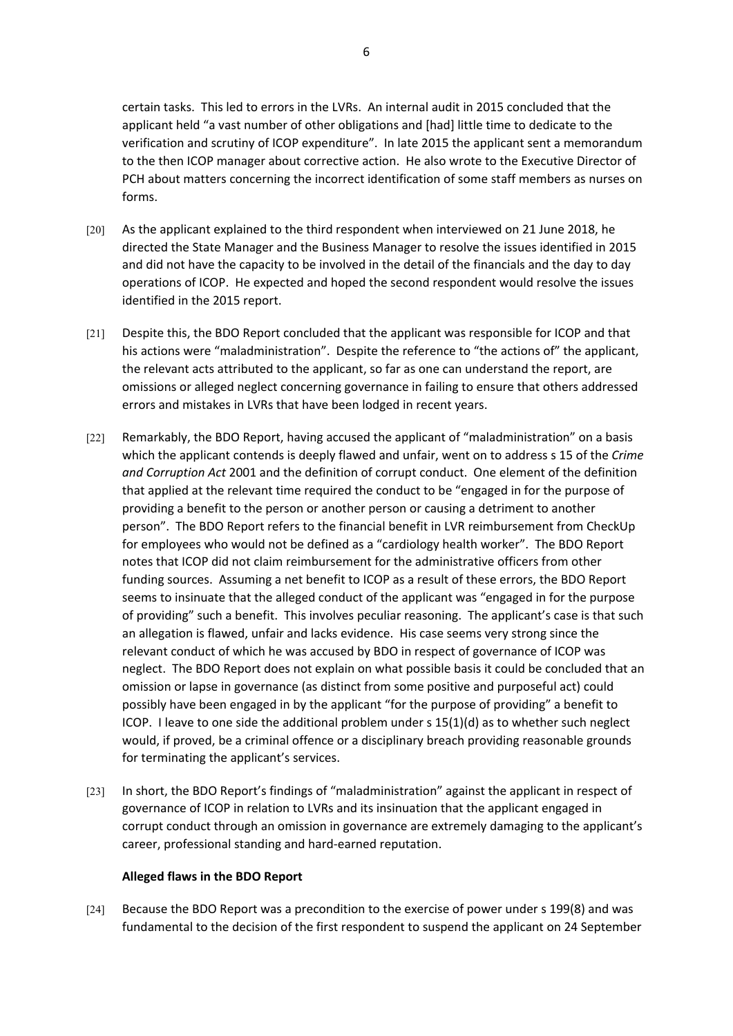certain tasks. This led to errors in the LVRs. An internal audit in 2015 concluded that the applicant held "a vast number of other obligations and [had] little time to dedicate to the verification and scrutiny of ICOP expenditure". In late 2015 the applicant sent a memorandum to the then ICOP manager about corrective action. He also wrote to the Executive Director of PCH about matters concerning the incorrect identification of some staff members as nurses on forms.

- [20] As the applicant explained to the third respondent when interviewed on 21 June 2018, he directed the State Manager and the Business Manager to resolve the issues identified in 2015 and did not have the capacity to be involved in the detail of the financials and the day to day operations of ICOP. He expected and hoped the second respondent would resolve the issues identified in the 2015 report.
- [21] Despite this, the BDO Report concluded that the applicant was responsible for ICOP and that his actions were "maladministration". Despite the reference to "the actions of" the applicant, the relevant acts attributed to the applicant, so far as one can understand the report, are omissions or alleged neglect concerning governance in failing to ensure that others addressed errors and mistakes in LVRs that have been lodged in recent years.
- [22] Remarkably, the BDO Report, having accused the applicant of "maladministration" on a basis which the applicant contends is deeply flawed and unfair, went on to address s 15 of the *Crime and Corruption Act* 2001 and the definition of corrupt conduct. One element of the definition that applied at the relevant time required the conduct to be "engaged in for the purpose of providing a benefit to the person or another person or causing a detriment to another person". The BDO Report refers to the financial benefit in LVR reimbursement from CheckUp for employees who would not be defined as a "cardiology health worker". The BDO Report notes that ICOP did not claim reimbursement for the administrative officers from other funding sources. Assuming a net benefit to ICOP as a result of these errors, the BDO Report seems to insinuate that the alleged conduct of the applicant was "engaged in for the purpose of providing" such a benefit. This involves peculiar reasoning. The applicant's case is that such an allegation is flawed, unfair and lacks evidence. His case seems very strong since the relevant conduct of which he was accused by BDO in respect of governance of ICOP was neglect. The BDO Report does not explain on what possible basis it could be concluded that an omission or lapse in governance (as distinct from some positive and purposeful act) could possibly have been engaged in by the applicant "for the purpose of providing" a benefit to ICOP. I leave to one side the additional problem under s 15(1)(d) as to whether such neglect would, if proved, be a criminal offence or a disciplinary breach providing reasonable grounds for terminating the applicant's services.
- [23] In short, the BDO Report's findings of "maladministration" against the applicant in respect of governance of ICOP in relation to LVRs and its insinuation that the applicant engaged in corrupt conduct through an omission in governance are extremely damaging to the applicant's career, professional standing and hard-earned reputation.

### **Alleged flaws in the BDO Report**

[24] Because the BDO Report was a precondition to the exercise of power under s 199(8) and was fundamental to the decision of the first respondent to suspend the applicant on 24 September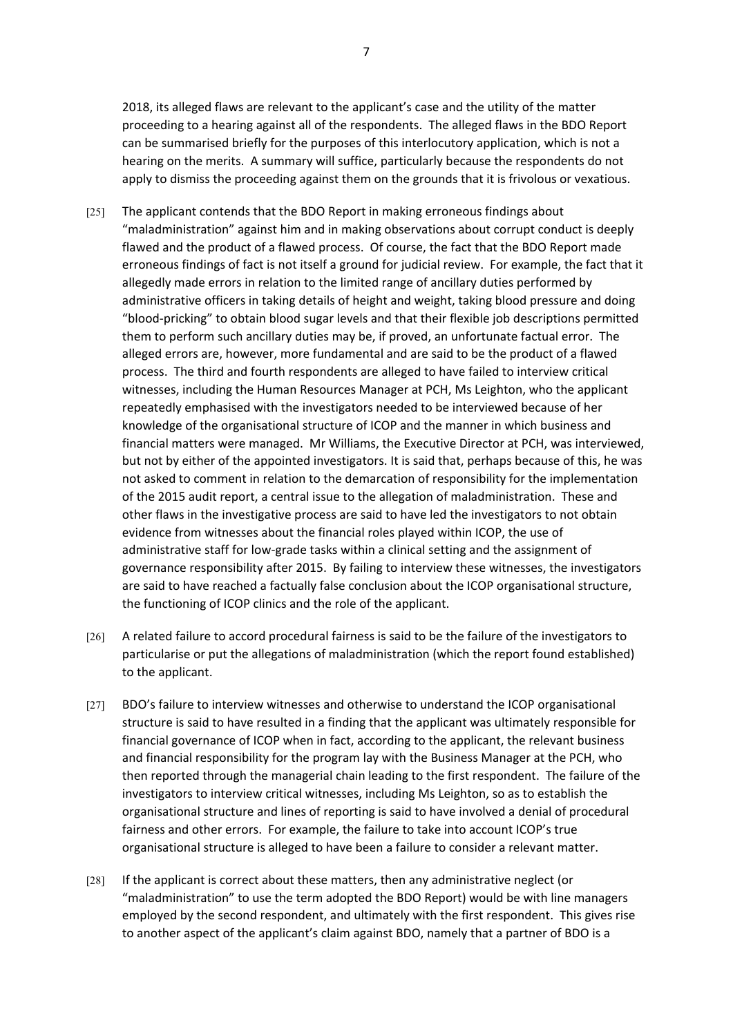2018, its alleged flaws are relevant to the applicant's case and the utility of the matter proceeding to a hearing against all of the respondents. The alleged flaws in the BDO Report can be summarised briefly for the purposes of this interlocutory application, which is not a hearing on the merits. A summary will suffice, particularly because the respondents do not apply to dismiss the proceeding against them on the grounds that it is frivolous or vexatious.

- [25] The applicant contends that the BDO Report in making erroneous findings about "maladministration" against him and in making observations about corrupt conduct is deeply flawed and the product of a flawed process. Of course, the fact that the BDO Report made erroneous findings of fact is not itself a ground for judicial review. For example, the fact that it allegedly made errors in relation to the limited range of ancillary duties performed by administrative officers in taking details of height and weight, taking blood pressure and doing "blood-pricking" to obtain blood sugar levels and that their flexible job descriptions permitted them to perform such ancillary duties may be, if proved, an unfortunate factual error. The alleged errors are, however, more fundamental and are said to be the product of a flawed process. The third and fourth respondents are alleged to have failed to interview critical witnesses, including the Human Resources Manager at PCH, Ms Leighton, who the applicant repeatedly emphasised with the investigators needed to be interviewed because of her knowledge of the organisational structure of ICOP and the manner in which business and financial matters were managed. Mr Williams, the Executive Director at PCH, was interviewed, but not by either of the appointed investigators. It is said that, perhaps because of this, he was not asked to comment in relation to the demarcation of responsibility for the implementation of the 2015 audit report, a central issue to the allegation of maladministration. These and other flaws in the investigative process are said to have led the investigators to not obtain evidence from witnesses about the financial roles played within ICOP, the use of administrative staff for low-grade tasks within a clinical setting and the assignment of governance responsibility after 2015. By failing to interview these witnesses, the investigators are said to have reached a factually false conclusion about the ICOP organisational structure, the functioning of ICOP clinics and the role of the applicant.
- [26] A related failure to accord procedural fairness is said to be the failure of the investigators to particularise or put the allegations of maladministration (which the report found established) to the applicant.
- [27] BDO's failure to interview witnesses and otherwise to understand the ICOP organisational structure is said to have resulted in a finding that the applicant was ultimately responsible for financial governance of ICOP when in fact, according to the applicant, the relevant business and financial responsibility for the program lay with the Business Manager at the PCH, who then reported through the managerial chain leading to the first respondent. The failure of the investigators to interview critical witnesses, including Ms Leighton, so as to establish the organisational structure and lines of reporting is said to have involved a denial of procedural fairness and other errors. For example, the failure to take into account ICOP's true organisational structure is alleged to have been a failure to consider a relevant matter.
- [28] If the applicant is correct about these matters, then any administrative neglect (or "maladministration" to use the term adopted the BDO Report) would be with line managers employed by the second respondent, and ultimately with the first respondent. This gives rise to another aspect of the applicant's claim against BDO, namely that a partner of BDO is a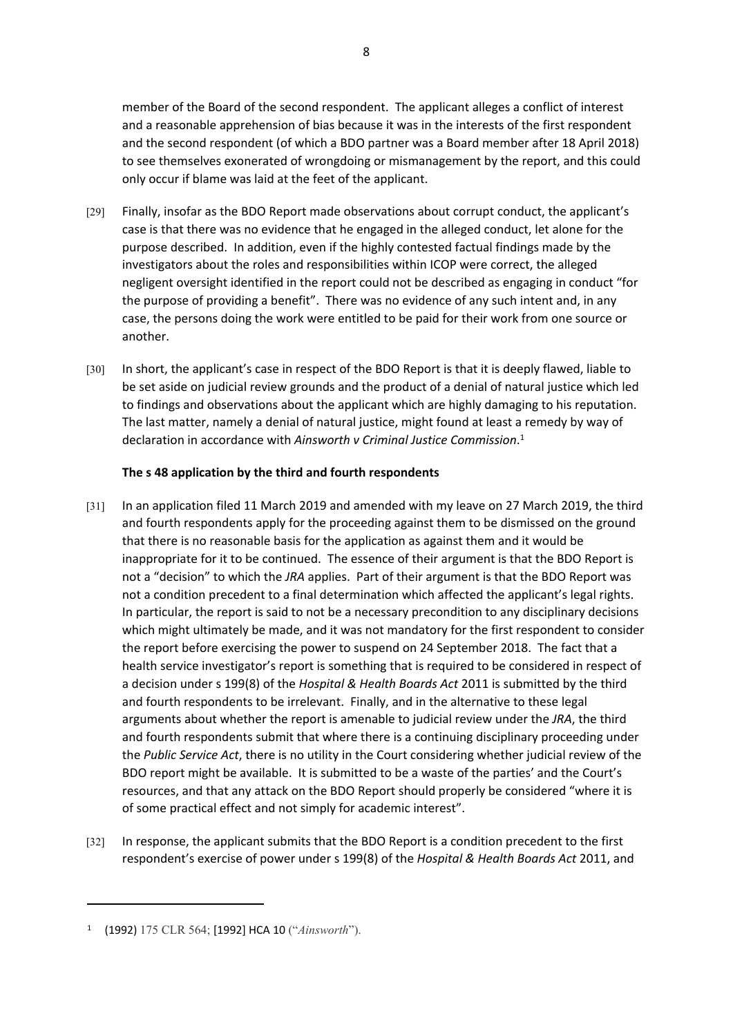member of the Board of the second respondent. The applicant alleges a conflict of interest and a reasonable apprehension of bias because it was in the interests of the first respondent and the second respondent (of which a BDO partner was a Board member after 18 April 2018) to see themselves exonerated of wrongdoing or mismanagement by the report, and this could only occur if blame was laid at the feet of the applicant.

- [29] Finally, insofar as the BDO Report made observations about corrupt conduct, the applicant's case is that there was no evidence that he engaged in the alleged conduct, let alone for the purpose described. In addition, even if the highly contested factual findings made by the investigators about the roles and responsibilities within ICOP were correct, the alleged negligent oversight identified in the report could not be described as engaging in conduct "for the purpose of providing a benefit". There was no evidence of any such intent and, in any case, the persons doing the work were entitled to be paid for their work from one source or another.
- [30] In short, the applicant's case in respect of the BDO Report is that it is deeply flawed, liable to be set aside on judicial review grounds and the product of a denial of natural justice which led to findings and observations about the applicant which are highly damaging to his reputation. The last matter, namely a denial of natural justice, might found at least a remedy by way of declaration in accordance with *Ainsworth v Criminal Justice Commission*. 1

# **The s 48 application by the third and fourth respondents**

- [31] In an application filed 11 March 2019 and amended with my leave on 27 March 2019, the third and fourth respondents apply for the proceeding against them to be dismissed on the ground that there is no reasonable basis for the application as against them and it would be inappropriate for it to be continued. The essence of their argument is that the BDO Report is not a "decision" to which the *JRA* applies. Part of their argument is that the BDO Report was not a condition precedent to a final determination which affected the applicant's legal rights. In particular, the report is said to not be a necessary precondition to any disciplinary decisions which might ultimately be made, and it was not mandatory for the first respondent to consider the report before exercising the power to suspend on 24 September 2018. The fact that a health service investigator's report is something that is required to be considered in respect of a decision under s 199(8) of the *Hospital & Health Boards Act* 2011 is submitted by the third and fourth respondents to be irrelevant. Finally, and in the alternative to these legal arguments about whether the report is amenable to judicial review under the *JRA*, the third and fourth respondents submit that where there is a continuing disciplinary proceeding under the *Public Service Act*, there is no utility in the Court considering whether judicial review of the BDO report might be available. It is submitted to be a waste of the parties' and the Court's resources, and that any attack on the BDO Report should properly be considered "where it is of some practical effect and not simply for academic interest".
- [32] In response, the applicant submits that the BDO Report is a condition precedent to the first respondent's exercise of power under s 199(8) of the *Hospital & Health Boards Act* 2011, and

<sup>1</sup> (1992) 175 CLR 564; [1992] HCA 10 ("*Ainsworth*").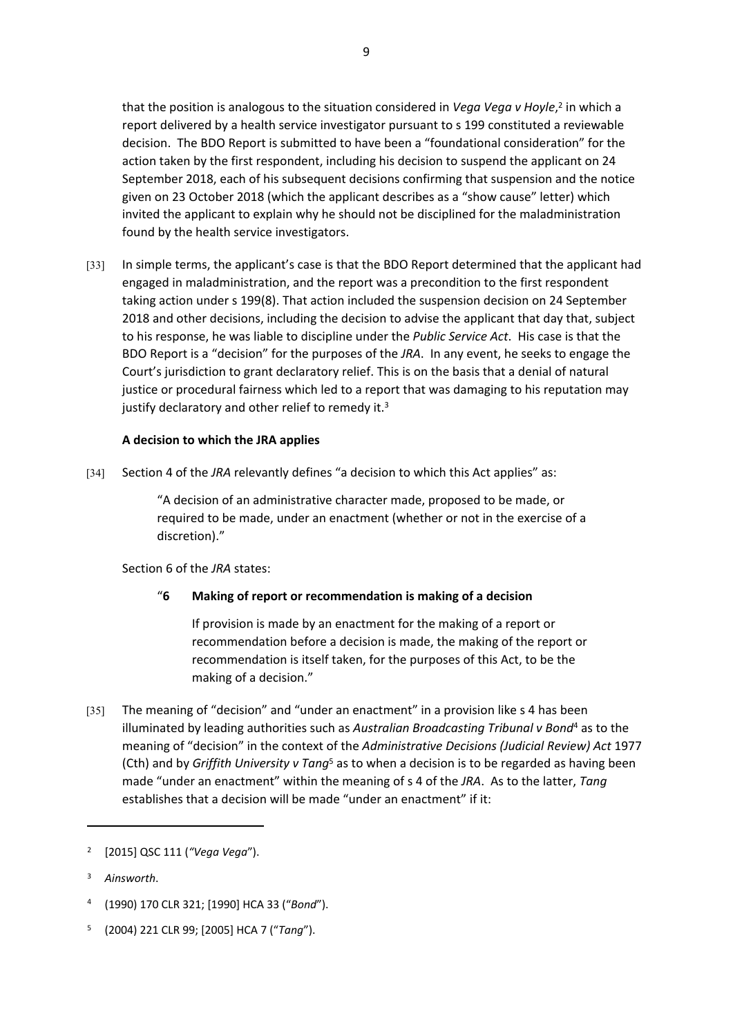that the position is analogous to the situation considered in Vega Vega v Hoyle,<sup>2</sup> in which a report delivered by a health service investigator pursuant to s 199 constituted a reviewable decision. The BDO Report is submitted to have been a "foundational consideration" for the action taken by the first respondent, including his decision to suspend the applicant on 24 September 2018, each of his subsequent decisions confirming that suspension and the notice given on 23 October 2018 (which the applicant describes as a "show cause" letter) which invited the applicant to explain why he should not be disciplined for the maladministration found by the health service investigators.

[33] In simple terms, the applicant's case is that the BDO Report determined that the applicant had engaged in maladministration, and the report was a precondition to the first respondent taking action under s 199(8). That action included the suspension decision on 24 September 2018 and other decisions, including the decision to advise the applicant that day that, subject to his response, he was liable to discipline under the *Public Service Act*. His case is that the BDO Report is a "decision" for the purposes of the *JRA*. In any event, he seeks to engage the Court's jurisdiction to grant declaratory relief. This is on the basis that a denial of natural justice or procedural fairness which led to a report that was damaging to his reputation may justify declaratory and other relief to remedy it.<sup>3</sup>

### **A decision to which the JRA applies**

[34] Section 4 of the *JRA* relevantly defines "a decision to which this Act applies" as:

"A decision of an administrative character made, proposed to be made, or required to be made, under an enactment (whether or not in the exercise of a discretion)."

### Section 6 of the *JRA* states:

# "**6 Making of report or recommendation is making of a decision**

If provision is made by an enactment for the making of a report or recommendation before a decision is made, the making of the report or recommendation is itself taken, for the purposes of this Act, to be the making of a decision."

[35] The meaning of "decision" and "under an enactment" in a provision like s 4 has been illuminated by leading authorities such as Australian Broadcasting Tribunal v Bond<sup>4</sup> as to the meaning of "decision" in the context of the *Administrative Decisions (Judicial Review) Act* 1977 (Cth) and by *Griffith University v Tang<sup>5</sup>* as to when a decision is to be regarded as having been made "under an enactment" within the meaning of s 4 of the *JRA*. As to the latter, *Tang* establishes that a decision will be made "under an enactment" if it:

<sup>2</sup> [2015] QSC 111 (*"Vega Vega*").

<sup>3</sup> *Ainsworth*.

<sup>4</sup> (1990) 170 CLR 321; [1990] HCA 33 ("*Bond*").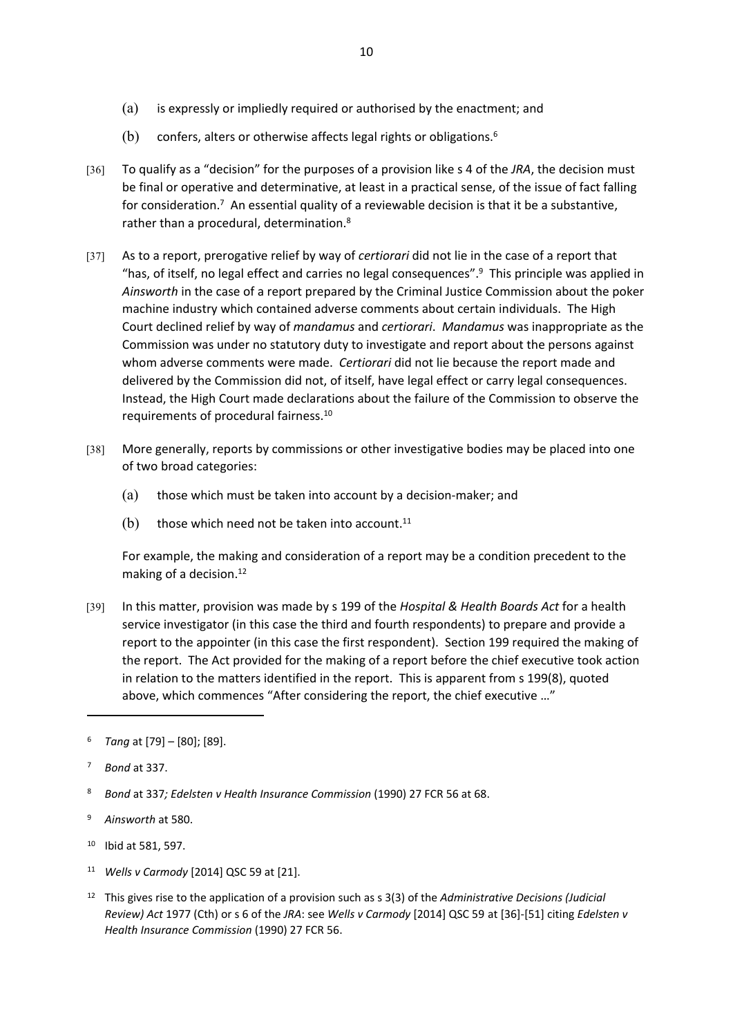- (a) is expressly or impliedly required or authorised by the enactment; and
- (b) confers, alters or otherwise affects legal rights or obligations.<sup>6</sup>
- [36] To qualify as a "decision" for the purposes of a provision like s 4 of the *JRA*, the decision must be final or operative and determinative, at least in a practical sense, of the issue of fact falling for consideration.<sup>7</sup> An essential quality of a reviewable decision is that it be a substantive, rather than a procedural, determination.<sup>8</sup>
- [37] As to a report, prerogative relief by way of *certiorari* did not lie in the case of a report that "has, of itself, no legal effect and carries no legal consequences".<sup>9</sup> This principle was applied in *Ainsworth* in the case of a report prepared by the Criminal Justice Commission about the poker machine industry which contained adverse comments about certain individuals. The High Court declined relief by way of *mandamus* and *certiorari*. *Mandamus* was inappropriate as the Commission was under no statutory duty to investigate and report about the persons against whom adverse comments were made. *Certiorari* did not lie because the report made and delivered by the Commission did not, of itself, have legal effect or carry legal consequences. Instead, the High Court made declarations about the failure of the Commission to observe the requirements of procedural fairness.<sup>10</sup>
- [38] More generally, reports by commissions or other investigative bodies may be placed into one of two broad categories:
	- (a) those which must be taken into account by a decision-maker; and
	- (b) those which need not be taken into account.<sup>11</sup>

For example, the making and consideration of a report may be a condition precedent to the making of a decision.<sup>12</sup>

[39] In this matter, provision was made by s 199 of the *Hospital & Health Boards Act* for a health service investigator (in this case the third and fourth respondents) to prepare and provide a report to the appointer (in this case the first respondent). Section 199 required the making of the report. The Act provided for the making of a report before the chief executive took action in relation to the matters identified in the report. This is apparent from s 199(8), quoted above, which commences "After considering the report, the chief executive …"

- <sup>8</sup> *Bond* at 337*; Edelsten v Health Insurance Commission* (1990) 27 FCR 56 at 68.
- <sup>9</sup> *Ainsworth* at 580.
- <sup>10</sup> Ibid at 581, 597.
- <sup>11</sup> *Wells v Carmody* [2014] QSC 59 at [21].
- <sup>12</sup> This gives rise to the application of a provision such as s 3(3) of the *Administrative Decisions (Judicial Review) Act* 1977 (Cth) or s 6 of the *JRA*: see *Wells v Carmody* [2014] QSC 59 at [36]-[51] citing *Edelsten v Health Insurance Commission* (1990) 27 FCR 56.

<sup>6</sup> *Tang* at [79] – [80]; [89].

<sup>7</sup> *Bond* at 337.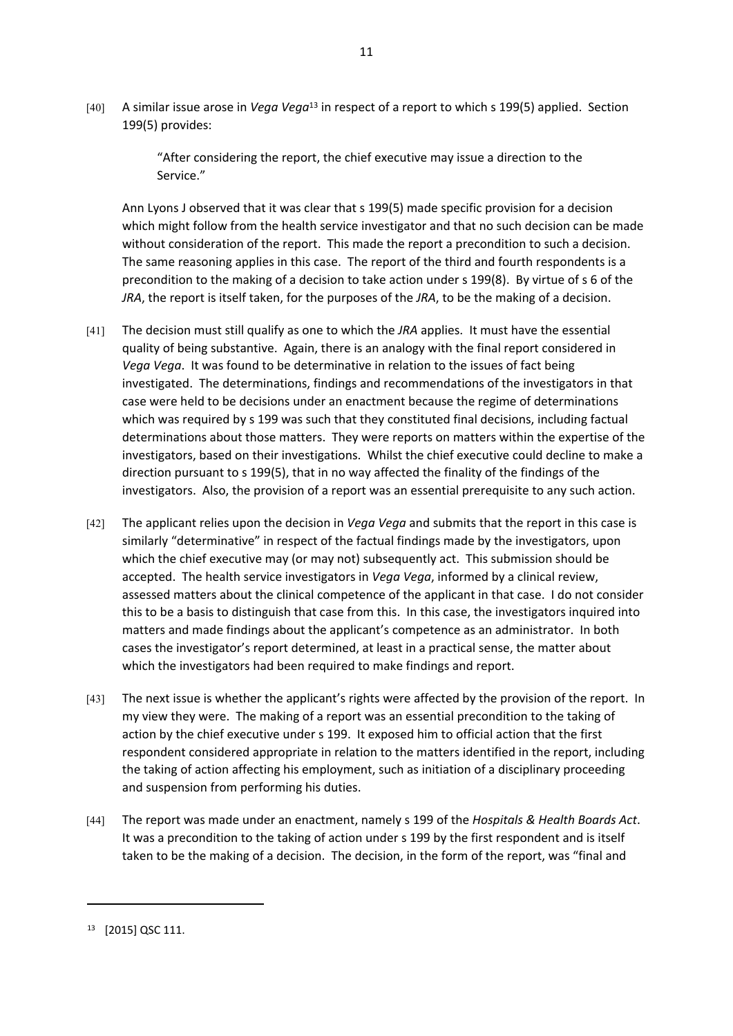[40] A similar issue arose in *Vega Vega*<sup>13</sup> in respect of a report to which s 199(5) applied. Section 199(5) provides:

11

"After considering the report, the chief executive may issue a direction to the Service."

Ann Lyons J observed that it was clear that s 199(5) made specific provision for a decision which might follow from the health service investigator and that no such decision can be made without consideration of the report. This made the report a precondition to such a decision. The same reasoning applies in this case. The report of the third and fourth respondents is a precondition to the making of a decision to take action under s 199(8). By virtue of s 6 of the *JRA*, the report is itself taken, for the purposes of the *JRA*, to be the making of a decision.

- [41] The decision must still qualify as one to which the *JRA* applies. It must have the essential quality of being substantive. Again, there is an analogy with the final report considered in *Vega Vega*. It was found to be determinative in relation to the issues of fact being investigated. The determinations, findings and recommendations of the investigators in that case were held to be decisions under an enactment because the regime of determinations which was required by s 199 was such that they constituted final decisions, including factual determinations about those matters. They were reports on matters within the expertise of the investigators, based on their investigations. Whilst the chief executive could decline to make a direction pursuant to s 199(5), that in no way affected the finality of the findings of the investigators. Also, the provision of a report was an essential prerequisite to any such action.
- [42] The applicant relies upon the decision in *Vega Vega* and submits that the report in this case is similarly "determinative" in respect of the factual findings made by the investigators, upon which the chief executive may (or may not) subsequently act. This submission should be accepted. The health service investigators in *Vega Vega*, informed by a clinical review, assessed matters about the clinical competence of the applicant in that case. I do not consider this to be a basis to distinguish that case from this. In this case, the investigators inquired into matters and made findings about the applicant's competence as an administrator. In both cases the investigator's report determined, at least in a practical sense, the matter about which the investigators had been required to make findings and report.
- [43] The next issue is whether the applicant's rights were affected by the provision of the report. In my view they were. The making of a report was an essential precondition to the taking of action by the chief executive under s 199. It exposed him to official action that the first respondent considered appropriate in relation to the matters identified in the report, including the taking of action affecting his employment, such as initiation of a disciplinary proceeding and suspension from performing his duties.
- [44] The report was made under an enactment, namely s 199 of the *Hospitals & Health Boards Act*. It was a precondition to the taking of action under s 199 by the first respondent and is itself taken to be the making of a decision. The decision, in the form of the report, was "final and

<sup>13</sup> [2015] QSC 111.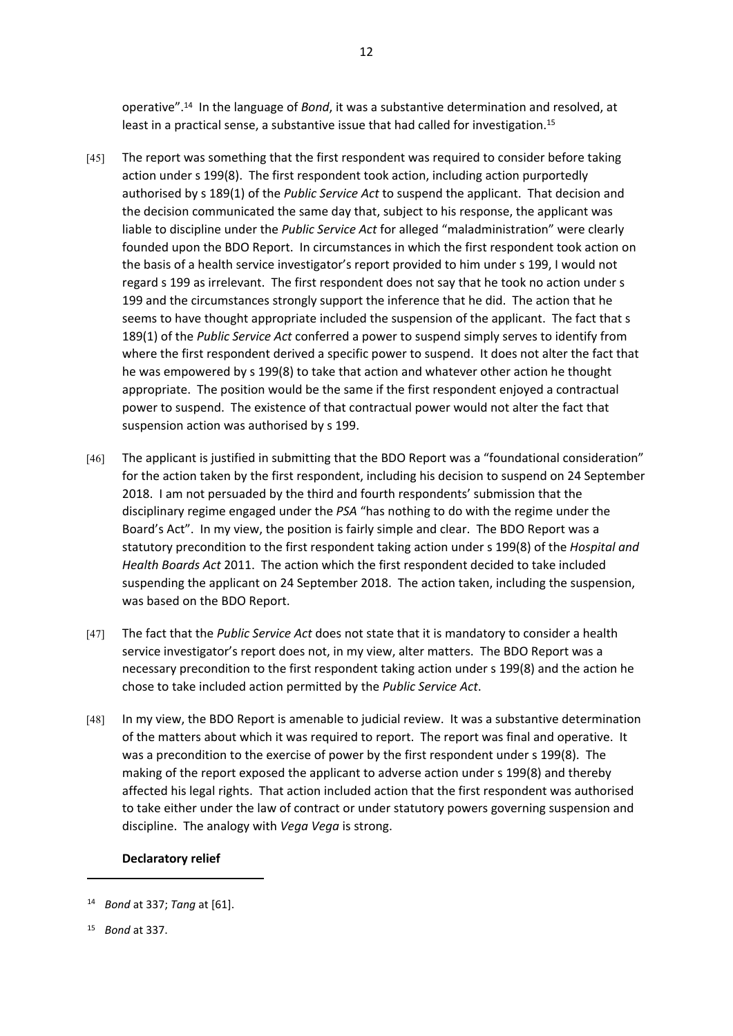operative".<sup>14</sup> In the language of *Bond*, it was a substantive determination and resolved, at least in a practical sense, a substantive issue that had called for investigation.<sup>15</sup>

- [45] The report was something that the first respondent was required to consider before taking action under s 199(8). The first respondent took action, including action purportedly authorised by s 189(1) of the *Public Service Act* to suspend the applicant. That decision and the decision communicated the same day that, subject to his response, the applicant was liable to discipline under the *Public Service Act* for alleged "maladministration" were clearly founded upon the BDO Report. In circumstances in which the first respondent took action on the basis of a health service investigator's report provided to him under s 199, I would not regard s 199 as irrelevant. The first respondent does not say that he took no action under s 199 and the circumstances strongly support the inference that he did. The action that he seems to have thought appropriate included the suspension of the applicant. The fact that s 189(1) of the *Public Service Act* conferred a power to suspend simply serves to identify from where the first respondent derived a specific power to suspend. It does not alter the fact that he was empowered by s 199(8) to take that action and whatever other action he thought appropriate. The position would be the same if the first respondent enjoyed a contractual power to suspend. The existence of that contractual power would not alter the fact that suspension action was authorised by s 199.
- [46] The applicant is justified in submitting that the BDO Report was a "foundational consideration" for the action taken by the first respondent, including his decision to suspend on 24 September 2018. I am not persuaded by the third and fourth respondents' submission that the disciplinary regime engaged under the *PSA* "has nothing to do with the regime under the Board's Act". In my view, the position is fairly simple and clear. The BDO Report was a statutory precondition to the first respondent taking action under s 199(8) of the *Hospital and Health Boards Act* 2011. The action which the first respondent decided to take included suspending the applicant on 24 September 2018. The action taken, including the suspension, was based on the BDO Report.
- [47] The fact that the *Public Service Act* does not state that it is mandatory to consider a health service investigator's report does not, in my view, alter matters. The BDO Report was a necessary precondition to the first respondent taking action under s 199(8) and the action he chose to take included action permitted by the *Public Service Act*.
- [48] In my view, the BDO Report is amenable to judicial review. It was a substantive determination of the matters about which it was required to report. The report was final and operative. It was a precondition to the exercise of power by the first respondent under s 199(8). The making of the report exposed the applicant to adverse action under s 199(8) and thereby affected his legal rights. That action included action that the first respondent was authorised to take either under the law of contract or under statutory powers governing suspension and discipline. The analogy with *Vega Vega* is strong.

#### **Declaratory relief**

<sup>15</sup> *Bond* at 337.

<sup>14</sup> *Bond* at 337; *Tang* at [61].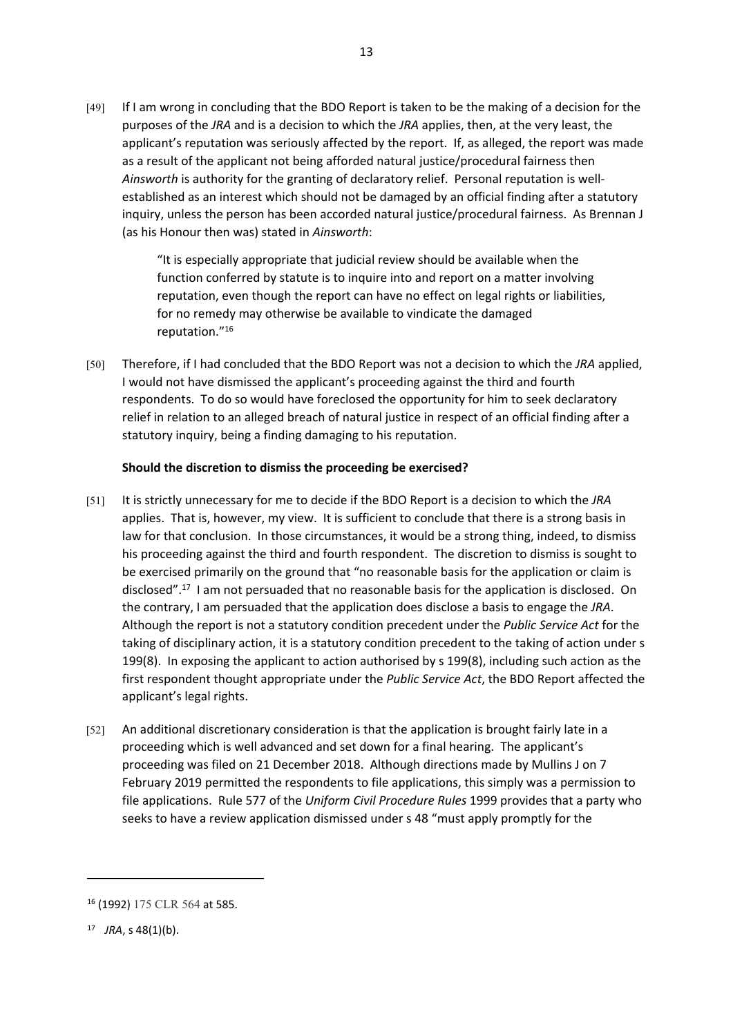[49] If I am wrong in concluding that the BDO Report is taken to be the making of a decision for the purposes of the *JRA* and is a decision to which the *JRA* applies, then, at the very least, the applicant's reputation was seriously affected by the report. If, as alleged, the report was made as a result of the applicant not being afforded natural justice/procedural fairness then *Ainsworth* is authority for the granting of declaratory relief. Personal reputation is wellestablished as an interest which should not be damaged by an official finding after a statutory inquiry, unless the person has been accorded natural justice/procedural fairness. As Brennan J (as his Honour then was) stated in *Ainsworth*:

13

"It is especially appropriate that judicial review should be available when the function conferred by statute is to inquire into and report on a matter involving reputation, even though the report can have no effect on legal rights or liabilities, for no remedy may otherwise be available to vindicate the damaged reputation."<sup>16</sup>

[50] Therefore, if I had concluded that the BDO Report was not a decision to which the *JRA* applied, I would not have dismissed the applicant's proceeding against the third and fourth respondents. To do so would have foreclosed the opportunity for him to seek declaratory relief in relation to an alleged breach of natural justice in respect of an official finding after a statutory inquiry, being a finding damaging to his reputation.

### **Should the discretion to dismiss the proceeding be exercised?**

- [51] It is strictly unnecessary for me to decide if the BDO Report is a decision to which the *JRA* applies. That is, however, my view. It is sufficient to conclude that there is a strong basis in law for that conclusion. In those circumstances, it would be a strong thing, indeed, to dismiss his proceeding against the third and fourth respondent. The discretion to dismiss is sought to be exercised primarily on the ground that "no reasonable basis for the application or claim is disclosed".<sup>17</sup> I am not persuaded that no reasonable basis for the application is disclosed. On the contrary, I am persuaded that the application does disclose a basis to engage the *JRA*. Although the report is not a statutory condition precedent under the *Public Service Act* for the taking of disciplinary action, it is a statutory condition precedent to the taking of action under s 199(8). In exposing the applicant to action authorised by s 199(8), including such action as the first respondent thought appropriate under the *Public Service Act*, the BDO Report affected the applicant's legal rights.
- [52] An additional discretionary consideration is that the application is brought fairly late in a proceeding which is well advanced and set down for a final hearing. The applicant's proceeding was filed on 21 December 2018. Although directions made by Mullins J on 7 February 2019 permitted the respondents to file applications, this simply was a permission to file applications. Rule 577 of the *Uniform Civil Procedure Rules* 1999 provides that a party who seeks to have a review application dismissed under s 48 "must apply promptly for the

<sup>16</sup> (1992) 175 CLR 564 at 585.

<sup>17</sup> *JRA*, s 48(1)(b).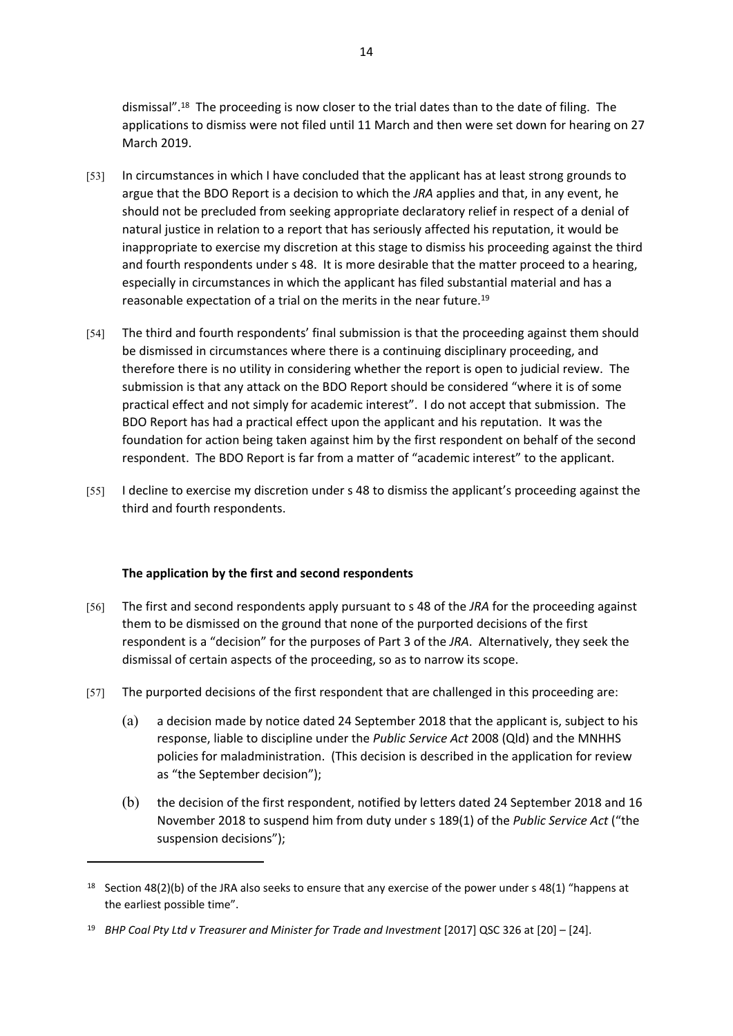dismissal".<sup>18</sup> The proceeding is now closer to the trial dates than to the date of filing. The applications to dismiss were not filed until 11 March and then were set down for hearing on 27 March 2019.

- [53] In circumstances in which I have concluded that the applicant has at least strong grounds to argue that the BDO Report is a decision to which the *JRA* applies and that, in any event, he should not be precluded from seeking appropriate declaratory relief in respect of a denial of natural justice in relation to a report that has seriously affected his reputation, it would be inappropriate to exercise my discretion at this stage to dismiss his proceeding against the third and fourth respondents under s 48. It is more desirable that the matter proceed to a hearing, especially in circumstances in which the applicant has filed substantial material and has a reasonable expectation of a trial on the merits in the near future.<sup>19</sup>
- [54] The third and fourth respondents' final submission is that the proceeding against them should be dismissed in circumstances where there is a continuing disciplinary proceeding, and therefore there is no utility in considering whether the report is open to judicial review. The submission is that any attack on the BDO Report should be considered "where it is of some practical effect and not simply for academic interest". I do not accept that submission. The BDO Report has had a practical effect upon the applicant and his reputation. It was the foundation for action being taken against him by the first respondent on behalf of the second respondent. The BDO Report is far from a matter of "academic interest" to the applicant.
- [55] I decline to exercise my discretion under s 48 to dismiss the applicant's proceeding against the third and fourth respondents.

### **The application by the first and second respondents**

- [56] The first and second respondents apply pursuant to s 48 of the *JRA* for the proceeding against them to be dismissed on the ground that none of the purported decisions of the first respondent is a "decision" for the purposes of Part 3 of the *JRA*. Alternatively, they seek the dismissal of certain aspects of the proceeding, so as to narrow its scope.
- [57] The purported decisions of the first respondent that are challenged in this proceeding are:
	- (a) a decision made by notice dated 24 September 2018 that the applicant is, subject to his response, liable to discipline under the *Public Service Act* 2008 (Qld) and the MNHHS policies for maladministration. (This decision is described in the application for review as "the September decision");
	- (b) the decision of the first respondent, notified by letters dated 24 September 2018 and 16 November 2018 to suspend him from duty under s 189(1) of the *Public Service Act* ("the suspension decisions");

<sup>&</sup>lt;sup>18</sup> Section 48(2)(b) of the JRA also seeks to ensure that any exercise of the power under s 48(1) "happens at the earliest possible time".

<sup>19</sup> *BHP Coal Pty Ltd v Treasurer and Minister for Trade and Investment* [2017] QSC 326 at [20] – [24].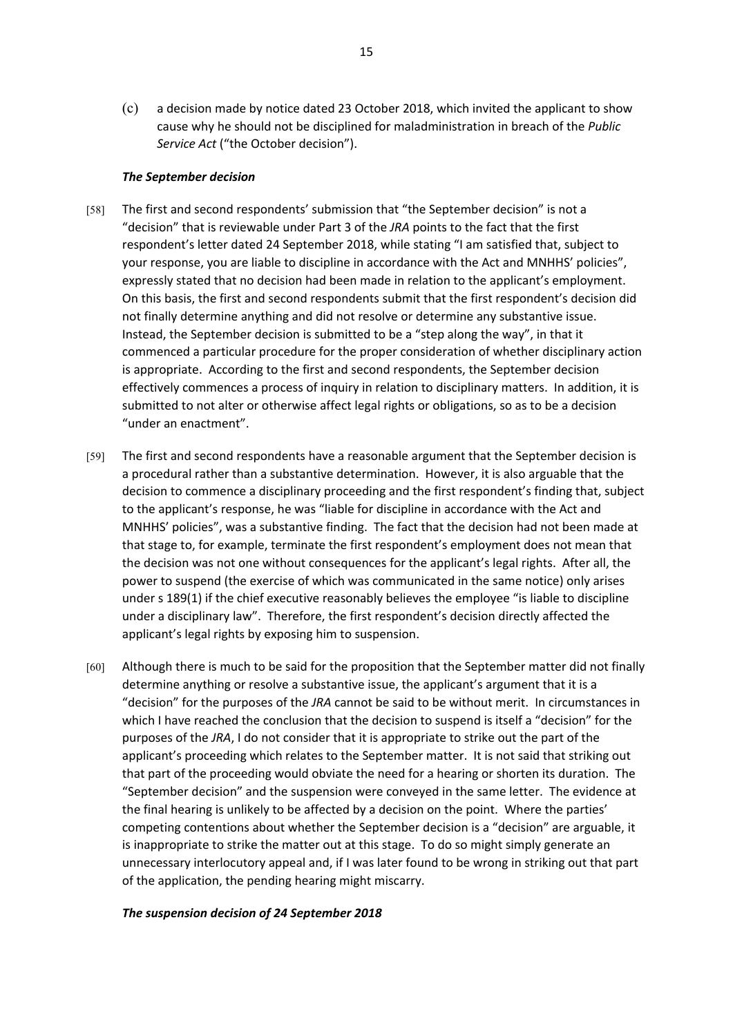(c) a decision made by notice dated 23 October 2018, which invited the applicant to show cause why he should not be disciplined for maladministration in breach of the *Public Service Act* ("the October decision").

### *The September decision*

- [58] The first and second respondents' submission that "the September decision" is not a "decision" that is reviewable under Part 3 of the *JRA* points to the fact that the first respondent's letter dated 24 September 2018, while stating "I am satisfied that, subject to your response, you are liable to discipline in accordance with the Act and MNHHS' policies", expressly stated that no decision had been made in relation to the applicant's employment. On this basis, the first and second respondents submit that the first respondent's decision did not finally determine anything and did not resolve or determine any substantive issue. Instead, the September decision is submitted to be a "step along the way", in that it commenced a particular procedure for the proper consideration of whether disciplinary action is appropriate. According to the first and second respondents, the September decision effectively commences a process of inquiry in relation to disciplinary matters. In addition, it is submitted to not alter or otherwise affect legal rights or obligations, so as to be a decision "under an enactment".
- [59] The first and second respondents have a reasonable argument that the September decision is a procedural rather than a substantive determination. However, it is also arguable that the decision to commence a disciplinary proceeding and the first respondent's finding that, subject to the applicant's response, he was "liable for discipline in accordance with the Act and MNHHS' policies", was a substantive finding. The fact that the decision had not been made at that stage to, for example, terminate the first respondent's employment does not mean that the decision was not one without consequences for the applicant's legal rights. After all, the power to suspend (the exercise of which was communicated in the same notice) only arises under s 189(1) if the chief executive reasonably believes the employee "is liable to discipline under a disciplinary law". Therefore, the first respondent's decision directly affected the applicant's legal rights by exposing him to suspension.
- [60] Although there is much to be said for the proposition that the September matter did not finally determine anything or resolve a substantive issue, the applicant's argument that it is a "decision" for the purposes of the *JRA* cannot be said to be without merit. In circumstances in which I have reached the conclusion that the decision to suspend is itself a "decision" for the purposes of the *JRA*, I do not consider that it is appropriate to strike out the part of the applicant's proceeding which relates to the September matter. It is not said that striking out that part of the proceeding would obviate the need for a hearing or shorten its duration. The "September decision" and the suspension were conveyed in the same letter. The evidence at the final hearing is unlikely to be affected by a decision on the point. Where the parties' competing contentions about whether the September decision is a "decision" are arguable, it is inappropriate to strike the matter out at this stage. To do so might simply generate an unnecessary interlocutory appeal and, if I was later found to be wrong in striking out that part of the application, the pending hearing might miscarry.

### *The suspension decision of 24 September 2018*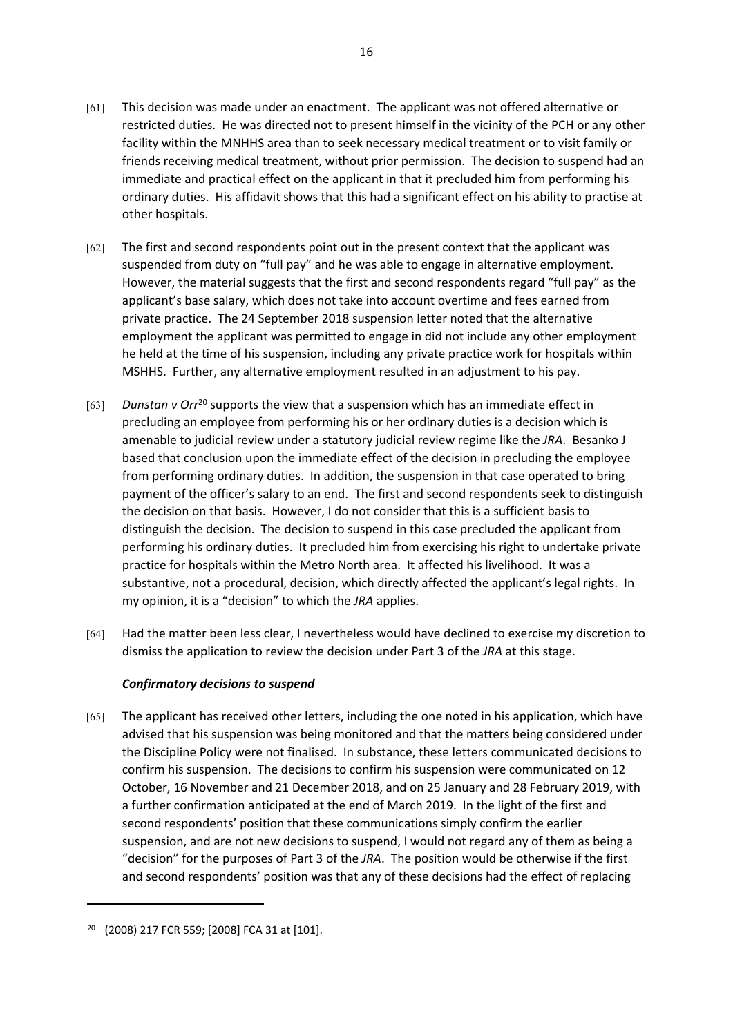- [61] This decision was made under an enactment. The applicant was not offered alternative or restricted duties. He was directed not to present himself in the vicinity of the PCH or any other facility within the MNHHS area than to seek necessary medical treatment or to visit family or friends receiving medical treatment, without prior permission. The decision to suspend had an immediate and practical effect on the applicant in that it precluded him from performing his ordinary duties. His affidavit shows that this had a significant effect on his ability to practise at other hospitals.
- [62] The first and second respondents point out in the present context that the applicant was suspended from duty on "full pay" and he was able to engage in alternative employment. However, the material suggests that the first and second respondents regard "full pay" as the applicant's base salary, which does not take into account overtime and fees earned from private practice. The 24 September 2018 suspension letter noted that the alternative employment the applicant was permitted to engage in did not include any other employment he held at the time of his suspension, including any private practice work for hospitals within MSHHS. Further, any alternative employment resulted in an adjustment to his pay.
- [63] *Dunstan v Orr*<sup>20</sup> supports the view that a suspension which has an immediate effect in precluding an employee from performing his or her ordinary duties is a decision which is amenable to judicial review under a statutory judicial review regime like the *JRA*. Besanko J based that conclusion upon the immediate effect of the decision in precluding the employee from performing ordinary duties. In addition, the suspension in that case operated to bring payment of the officer's salary to an end. The first and second respondents seek to distinguish the decision on that basis. However, I do not consider that this is a sufficient basis to distinguish the decision. The decision to suspend in this case precluded the applicant from performing his ordinary duties. It precluded him from exercising his right to undertake private practice for hospitals within the Metro North area. It affected his livelihood. It was a substantive, not a procedural, decision, which directly affected the applicant's legal rights. In my opinion, it is a "decision" to which the *JRA* applies.
- [64] Had the matter been less clear, I nevertheless would have declined to exercise my discretion to dismiss the application to review the decision under Part 3 of the *JRA* at this stage.

### *Confirmatory decisions to suspend*

[65] The applicant has received other letters, including the one noted in his application, which have advised that his suspension was being monitored and that the matters being considered under the Discipline Policy were not finalised. In substance, these letters communicated decisions to confirm his suspension. The decisions to confirm his suspension were communicated on 12 October, 16 November and 21 December 2018, and on 25 January and 28 February 2019, with a further confirmation anticipated at the end of March 2019. In the light of the first and second respondents' position that these communications simply confirm the earlier suspension, and are not new decisions to suspend, I would not regard any of them as being a "decision" for the purposes of Part 3 of the *JRA*. The position would be otherwise if the first and second respondents' position was that any of these decisions had the effect of replacing

<sup>20</sup> (2008) 217 FCR 559; [2008] FCA 31 at [101].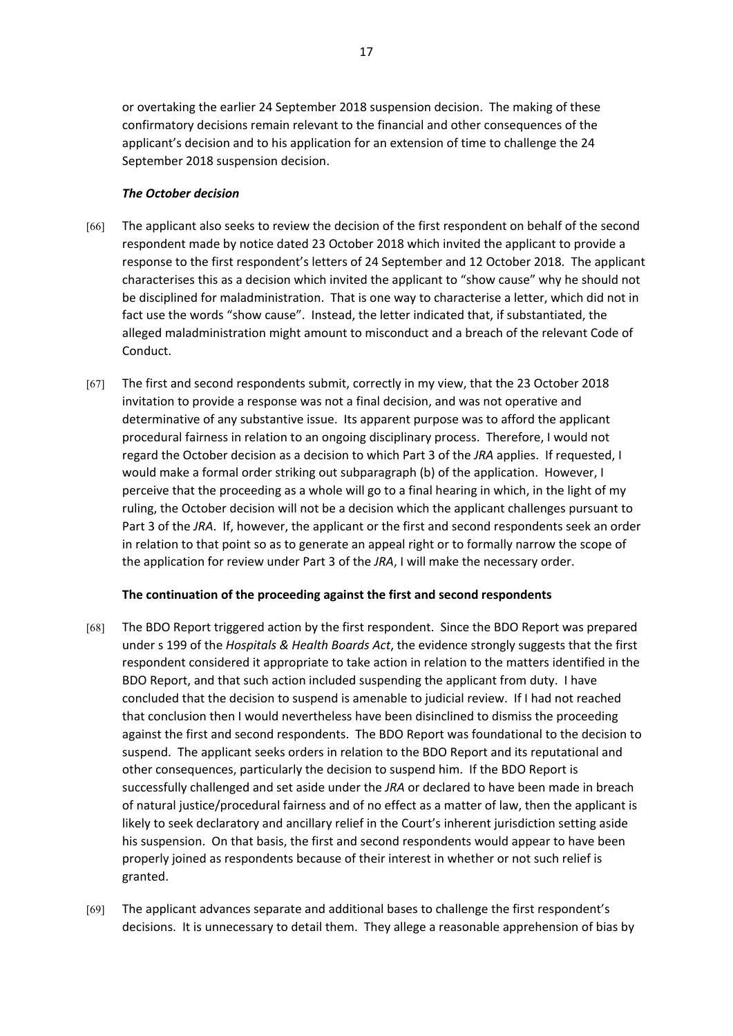or overtaking the earlier 24 September 2018 suspension decision. The making of these confirmatory decisions remain relevant to the financial and other consequences of the applicant's decision and to his application for an extension of time to challenge the 24 September 2018 suspension decision.

#### *The October decision*

- [66] The applicant also seeks to review the decision of the first respondent on behalf of the second respondent made by notice dated 23 October 2018 which invited the applicant to provide a response to the first respondent's letters of 24 September and 12 October 2018. The applicant characterises this as a decision which invited the applicant to "show cause" why he should not be disciplined for maladministration. That is one way to characterise a letter, which did not in fact use the words "show cause". Instead, the letter indicated that, if substantiated, the alleged maladministration might amount to misconduct and a breach of the relevant Code of Conduct.
- [67] The first and second respondents submit, correctly in my view, that the 23 October 2018 invitation to provide a response was not a final decision, and was not operative and determinative of any substantive issue. Its apparent purpose was to afford the applicant procedural fairness in relation to an ongoing disciplinary process. Therefore, I would not regard the October decision as a decision to which Part 3 of the *JRA* applies. If requested, I would make a formal order striking out subparagraph (b) of the application. However, I perceive that the proceeding as a whole will go to a final hearing in which, in the light of my ruling, the October decision will not be a decision which the applicant challenges pursuant to Part 3 of the *JRA*. If, however, the applicant or the first and second respondents seek an order in relation to that point so as to generate an appeal right or to formally narrow the scope of the application for review under Part 3 of the *JRA*, I will make the necessary order.

#### **The continuation of the proceeding against the first and second respondents**

- [68] The BDO Report triggered action by the first respondent. Since the BDO Report was prepared under s 199 of the *Hospitals & Health Boards Act*, the evidence strongly suggests that the first respondent considered it appropriate to take action in relation to the matters identified in the BDO Report, and that such action included suspending the applicant from duty. I have concluded that the decision to suspend is amenable to judicial review. If I had not reached that conclusion then I would nevertheless have been disinclined to dismiss the proceeding against the first and second respondents. The BDO Report was foundational to the decision to suspend. The applicant seeks orders in relation to the BDO Report and its reputational and other consequences, particularly the decision to suspend him. If the BDO Report is successfully challenged and set aside under the *JRA* or declared to have been made in breach of natural justice/procedural fairness and of no effect as a matter of law, then the applicant is likely to seek declaratory and ancillary relief in the Court's inherent jurisdiction setting aside his suspension. On that basis, the first and second respondents would appear to have been properly joined as respondents because of their interest in whether or not such relief is granted.
- [69] The applicant advances separate and additional bases to challenge the first respondent's decisions. It is unnecessary to detail them. They allege a reasonable apprehension of bias by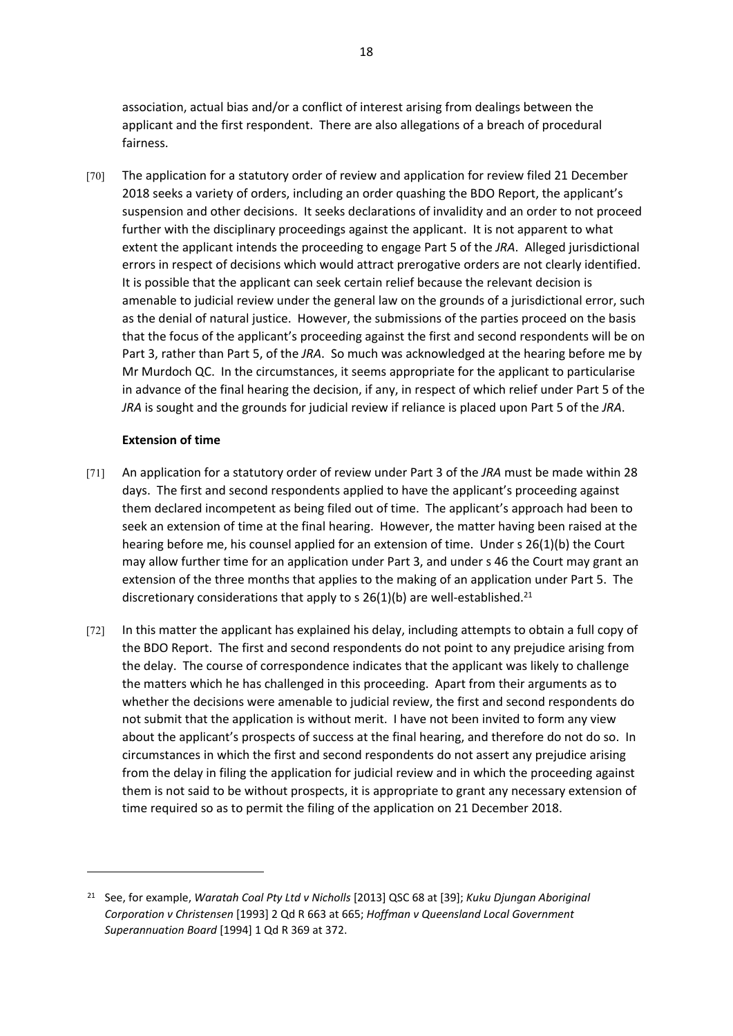association, actual bias and/or a conflict of interest arising from dealings between the applicant and the first respondent. There are also allegations of a breach of procedural fairness.

[70] The application for a statutory order of review and application for review filed 21 December 2018 seeks a variety of orders, including an order quashing the BDO Report, the applicant's suspension and other decisions. It seeks declarations of invalidity and an order to not proceed further with the disciplinary proceedings against the applicant. It is not apparent to what extent the applicant intends the proceeding to engage Part 5 of the *JRA*. Alleged jurisdictional errors in respect of decisions which would attract prerogative orders are not clearly identified. It is possible that the applicant can seek certain relief because the relevant decision is amenable to judicial review under the general law on the grounds of a jurisdictional error, such as the denial of natural justice. However, the submissions of the parties proceed on the basis that the focus of the applicant's proceeding against the first and second respondents will be on Part 3, rather than Part 5, of the *JRA*. So much was acknowledged at the hearing before me by Mr Murdoch QC. In the circumstances, it seems appropriate for the applicant to particularise in advance of the final hearing the decision, if any, in respect of which relief under Part 5 of the *JRA* is sought and the grounds for judicial review if reliance is placed upon Part 5 of the *JRA*.

#### **Extension of time**

- [71] An application for a statutory order of review under Part 3 of the *JRA* must be made within 28 days. The first and second respondents applied to have the applicant's proceeding against them declared incompetent as being filed out of time. The applicant's approach had been to seek an extension of time at the final hearing. However, the matter having been raised at the hearing before me, his counsel applied for an extension of time. Under s 26(1)(b) the Court may allow further time for an application under Part 3, and under s 46 the Court may grant an extension of the three months that applies to the making of an application under Part 5. The discretionary considerations that apply to s  $26(1)(b)$  are well-established.<sup>21</sup>
- [72] In this matter the applicant has explained his delay, including attempts to obtain a full copy of the BDO Report. The first and second respondents do not point to any prejudice arising from the delay. The course of correspondence indicates that the applicant was likely to challenge the matters which he has challenged in this proceeding. Apart from their arguments as to whether the decisions were amenable to judicial review, the first and second respondents do not submit that the application is without merit. I have not been invited to form any view about the applicant's prospects of success at the final hearing, and therefore do not do so. In circumstances in which the first and second respondents do not assert any prejudice arising from the delay in filing the application for judicial review and in which the proceeding against them is not said to be without prospects, it is appropriate to grant any necessary extension of time required so as to permit the filing of the application on 21 December 2018.

<sup>21</sup> See, for example, *Waratah Coal Pty Ltd v Nicholls* [2013] QSC 68 at [39]; *Kuku Djungan Aboriginal Corporation v Christensen* [1993] 2 Qd R 663 at 665; *Hoffman v Queensland Local Government Superannuation Board* [1994] 1 Qd R 369 at 372.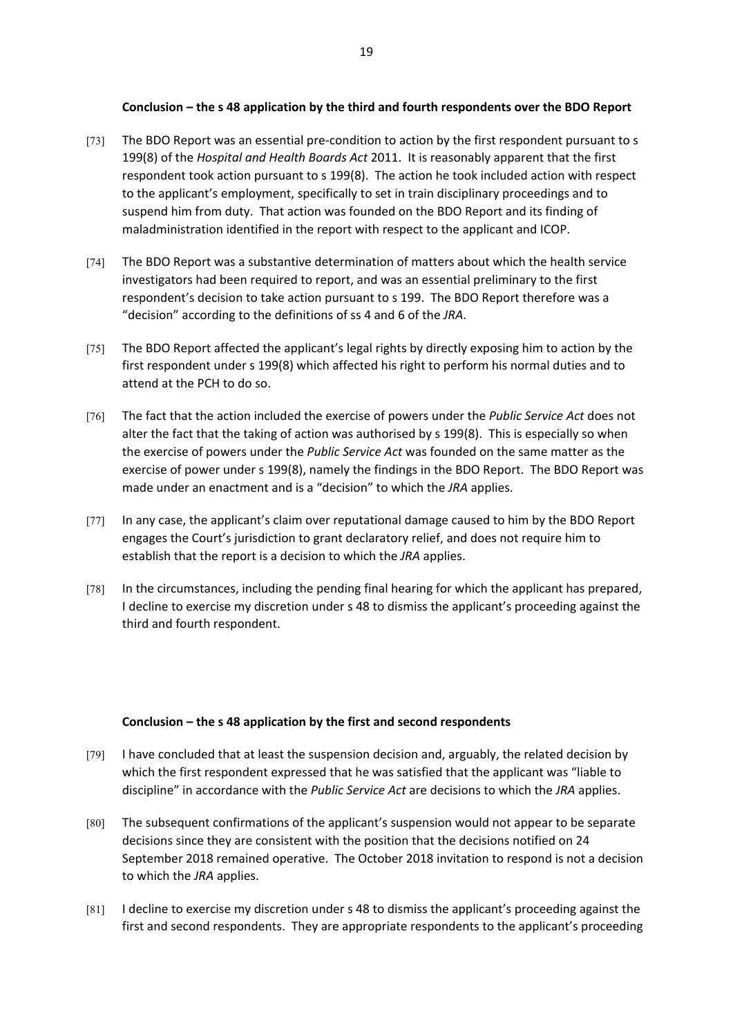## **Conclusion – the s 48 application by the third and fourth respondents over the BDO Report**

- [73] The BDO Report was an essential pre-condition to action by the first respondent pursuant to s 199(8) of the *Hospital and Health Boards Act* 2011. It is reasonably apparent that the first respondent took action pursuant to s 199(8). The action he took included action with respect to the applicant's employment, specifically to set in train disciplinary proceedings and to suspend him from duty. That action was founded on the BDO Report and its finding of maladministration identified in the report with respect to the applicant and ICOP.
- [74] The BDO Report was a substantive determination of matters about which the health service investigators had been required to report, and was an essential preliminary to the first respondent's decision to take action pursuant to s 199. The BDO Report therefore was a "decision" according to the definitions of ss 4 and 6 of the *JRA*.
- [75] The BDO Report affected the applicant's legal rights by directly exposing him to action by the first respondent under s 199(8) which affected his right to perform his normal duties and to attend at the PCH to do so.
- [76] The fact that the action included the exercise of powers under the *Public Service Act* does not alter the fact that the taking of action was authorised by s 199(8). This is especially so when the exercise of powers under the *Public Service Act* was founded on the same matter as the exercise of power under s 199(8), namely the findings in the BDO Report. The BDO Report was made under an enactment and is a "decision" to which the *JRA* applies.
- [77] In any case, the applicant's claim over reputational damage caused to him by the BDO Report engages the Court's jurisdiction to grant declaratory relief, and does not require him to establish that the report is a decision to which the *JRA* applies.
- [78] In the circumstances, including the pending final hearing for which the applicant has prepared, I decline to exercise my discretion under s 48 to dismiss the applicant's proceeding against the third and fourth respondent.

### **Conclusion – the s 48 application by the first and second respondents**

- [79] I have concluded that at least the suspension decision and, arguably, the related decision by which the first respondent expressed that he was satisfied that the applicant was "liable to discipline" in accordance with the *Public Service Act* are decisions to which the *JRA* applies.
- [80] The subsequent confirmations of the applicant's suspension would not appear to be separate decisions since they are consistent with the position that the decisions notified on 24 September 2018 remained operative. The October 2018 invitation to respond is not a decision to which the *JRA* applies.
- [81] I decline to exercise my discretion under s 48 to dismiss the applicant's proceeding against the first and second respondents. They are appropriate respondents to the applicant's proceeding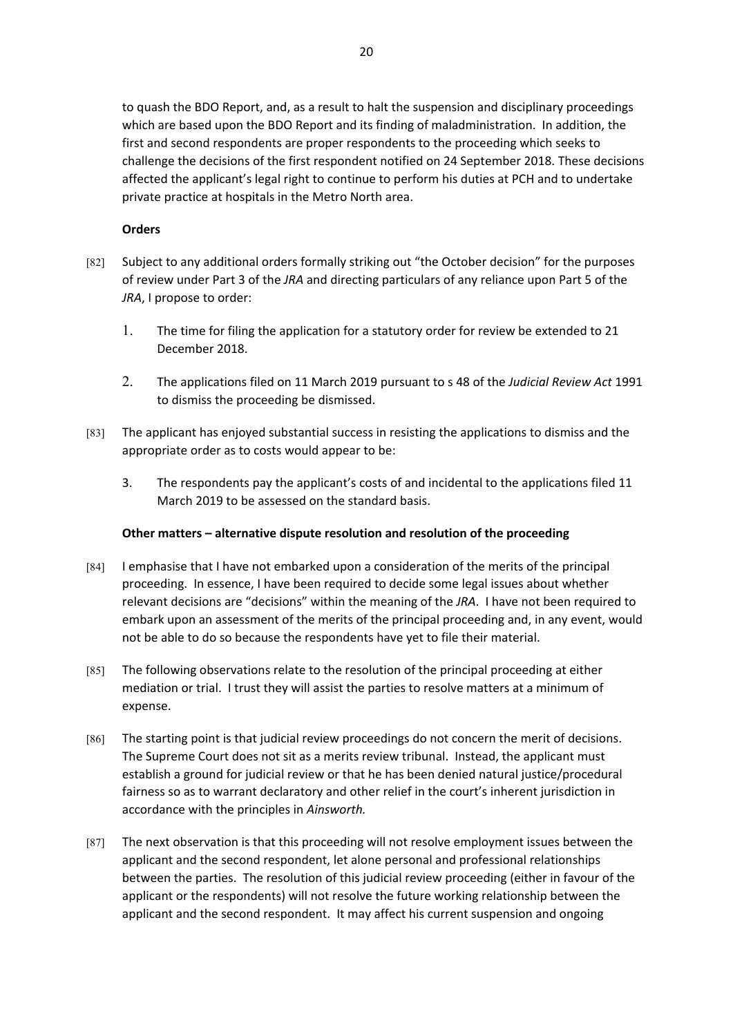to quash the BDO Report, and, as a result to halt the suspension and disciplinary proceedings which are based upon the BDO Report and its finding of maladministration. In addition, the first and second respondents are proper respondents to the proceeding which seeks to challenge the decisions of the first respondent notified on 24 September 2018. These decisions affected the applicant's legal right to continue to perform his duties at PCH and to undertake private practice at hospitals in the Metro North area.

## **Orders**

- [82] Subject to any additional orders formally striking out "the October decision" for the purposes of review under Part 3 of the *JRA* and directing particulars of any reliance upon Part 5 of the *JRA*, I propose to order:
	- 1. The time for filing the application for a statutory order for review be extended to 21 December 2018.
	- 2. The applications filed on 11 March 2019 pursuant to s 48 of the *Judicial Review Act* 1991 to dismiss the proceeding be dismissed.
- [83] The applicant has enjoyed substantial success in resisting the applications to dismiss and the appropriate order as to costs would appear to be:
	- 3. The respondents pay the applicant's costs of and incidental to the applications filed 11 March 2019 to be assessed on the standard basis.

### **Other matters – alternative dispute resolution and resolution of the proceeding**

- [84] I emphasise that I have not embarked upon a consideration of the merits of the principal proceeding. In essence, I have been required to decide some legal issues about whether relevant decisions are "decisions" within the meaning of the *JRA*. I have not been required to embark upon an assessment of the merits of the principal proceeding and, in any event, would not be able to do so because the respondents have yet to file their material.
- [85] The following observations relate to the resolution of the principal proceeding at either mediation or trial. I trust they will assist the parties to resolve matters at a minimum of expense.
- [86] The starting point is that judicial review proceedings do not concern the merit of decisions. The Supreme Court does not sit as a merits review tribunal. Instead, the applicant must establish a ground for judicial review or that he has been denied natural justice/procedural fairness so as to warrant declaratory and other relief in the court's inherent jurisdiction in accordance with the principles in *Ainsworth.*
- [87] The next observation is that this proceeding will not resolve employment issues between the applicant and the second respondent, let alone personal and professional relationships between the parties. The resolution of this judicial review proceeding (either in favour of the applicant or the respondents) will not resolve the future working relationship between the applicant and the second respondent. It may affect his current suspension and ongoing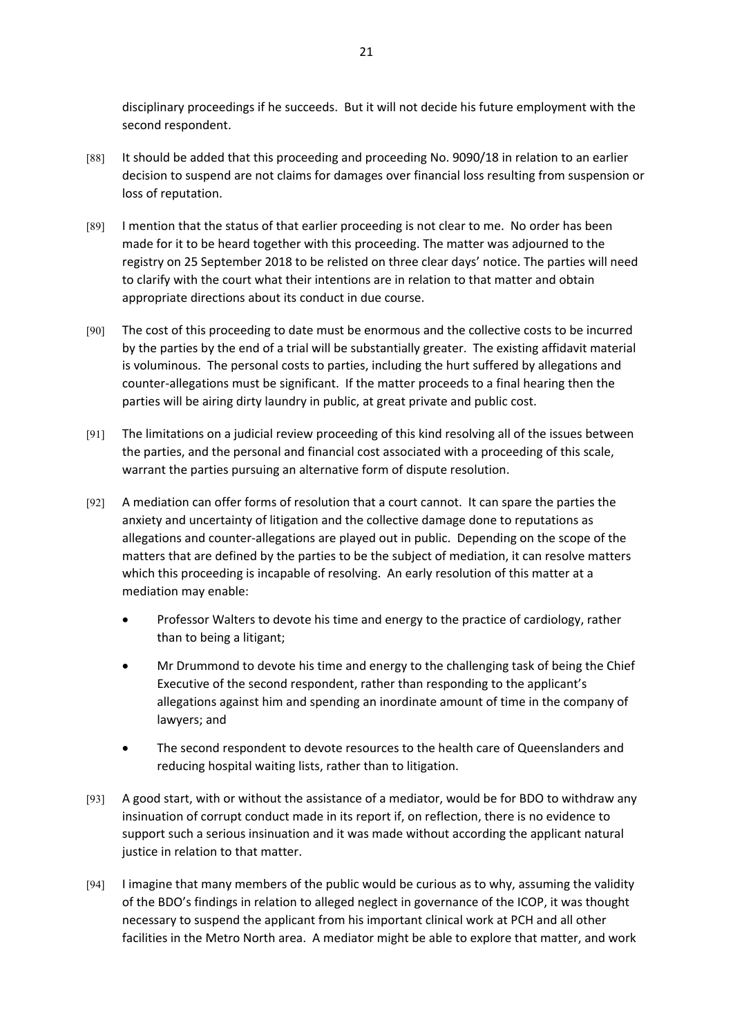disciplinary proceedings if he succeeds. But it will not decide his future employment with the second respondent.

- [88] It should be added that this proceeding and proceeding No. 9090/18 in relation to an earlier decision to suspend are not claims for damages over financial loss resulting from suspension or loss of reputation.
- [89] I mention that the status of that earlier proceeding is not clear to me. No order has been made for it to be heard together with this proceeding. The matter was adjourned to the registry on 25 September 2018 to be relisted on three clear days' notice. The parties will need to clarify with the court what their intentions are in relation to that matter and obtain appropriate directions about its conduct in due course.
- [90] The cost of this proceeding to date must be enormous and the collective costs to be incurred by the parties by the end of a trial will be substantially greater. The existing affidavit material is voluminous. The personal costs to parties, including the hurt suffered by allegations and counter-allegations must be significant. If the matter proceeds to a final hearing then the parties will be airing dirty laundry in public, at great private and public cost.
- [91] The limitations on a judicial review proceeding of this kind resolving all of the issues between the parties, and the personal and financial cost associated with a proceeding of this scale, warrant the parties pursuing an alternative form of dispute resolution.
- [92] A mediation can offer forms of resolution that a court cannot. It can spare the parties the anxiety and uncertainty of litigation and the collective damage done to reputations as allegations and counter-allegations are played out in public. Depending on the scope of the matters that are defined by the parties to be the subject of mediation, it can resolve matters which this proceeding is incapable of resolving. An early resolution of this matter at a mediation may enable:
	- Professor Walters to devote his time and energy to the practice of cardiology, rather than to being a litigant;
	- Mr Drummond to devote his time and energy to the challenging task of being the Chief Executive of the second respondent, rather than responding to the applicant's allegations against him and spending an inordinate amount of time in the company of lawyers; and
	- The second respondent to devote resources to the health care of Queenslanders and reducing hospital waiting lists, rather than to litigation.
- [93] A good start, with or without the assistance of a mediator, would be for BDO to withdraw any insinuation of corrupt conduct made in its report if, on reflection, there is no evidence to support such a serious insinuation and it was made without according the applicant natural justice in relation to that matter.
- [94] I imagine that many members of the public would be curious as to why, assuming the validity of the BDO's findings in relation to alleged neglect in governance of the ICOP, it was thought necessary to suspend the applicant from his important clinical work at PCH and all other facilities in the Metro North area. A mediator might be able to explore that matter, and work